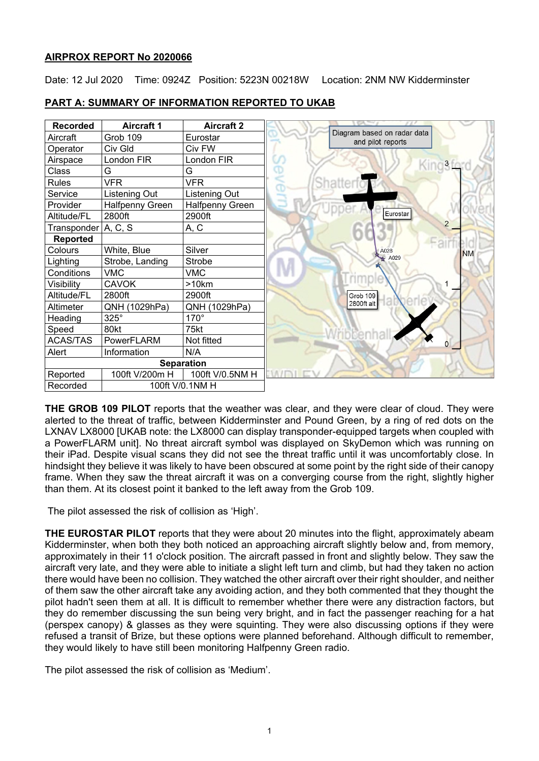#### **AIRPROX REPORT No 2020066**

Date: 12 Jul 2020 Time: 0924Z Position: 5223N 00218W Location: 2NM NW Kidderminster

| <b>Recorded</b>             | <b>Aircraft 1</b> | <b>Aircraft 2</b> |                                                  |
|-----------------------------|-------------------|-------------------|--------------------------------------------------|
| Aircraft                    | Grob 109          | Eurostar          | Diagram based on radar data<br>and pilot reports |
| Operator                    | Civ Gld           | Civ FW            |                                                  |
| Airspace                    | London FIR        | London FIR        | 3 <sup>1</sup>                                   |
| Class                       | G                 | G                 |                                                  |
| <b>Rules</b>                | <b>VFR</b>        | <b>VFR</b>        |                                                  |
| Service                     | Listening Out     | Listening Out     |                                                  |
| Provider                    | Halfpenny Green   | Halfpenny Green   |                                                  |
| Altitude/FL                 | 2800ft            | 2900ft            | Eurostar                                         |
| Transponder A, C, S         |                   | A, C              | $\mathcal{P}$                                    |
| <b>Reported</b>             |                   |                   |                                                  |
| Colours                     | White, Blue       | Silver            | A028<br><b>NM</b>                                |
| Lighting                    | Strobe, Landing   | <b>Strobe</b>     | A029                                             |
| Conditions                  | <b>VMC</b>        | <b>VMC</b>        |                                                  |
| Visibility                  | <b>CAVOK</b>      | >10km             |                                                  |
| Altitude/FL                 | 2800ft            | 2900ft            | Grob 109                                         |
| Altimeter                   | QNH (1029hPa)     | QNH (1029hPa)     | 2800ft alt                                       |
| Heading                     | $325^\circ$       | $170^\circ$       |                                                  |
| Speed                       | 80kt              | 75kt              |                                                  |
| <b>ACAS/TAS</b>             | PowerFLARM        | Not fitted        |                                                  |
| Alert                       | Information       | N/A               |                                                  |
|                             |                   | <b>Separation</b> |                                                  |
| Reported                    | 100ft V/200m H    | 100ft V/0.5NM H   |                                                  |
| 100ft V/0.1NM H<br>Recorded |                   |                   |                                                  |

## **PART A: SUMMARY OF INFORMATION REPORTED TO UKAB**

**THE GROB 109 PILOT** reports that the weather was clear, and they were clear of cloud. They were alerted to the threat of traffic, between Kidderminster and Pound Green, by a ring of red dots on the LXNAV LX8000 [UKAB note: the LX8000 can display transponder-equipped targets when coupled with a PowerFLARM unit]. No threat aircraft symbol was displayed on SkyDemon which was running on their iPad. Despite visual scans they did not see the threat traffic until it was uncomfortably close. In hindsight they believe it was likely to have been obscured at some point by the right side of their canopy frame. When they saw the threat aircraft it was on a converging course from the right, slightly higher than them. At its closest point it banked to the left away from the Grob 109.

The pilot assessed the risk of collision as 'High'.

**THE EUROSTAR PILOT** reports that they were about 20 minutes into the flight, approximately abeam Kidderminster, when both they both noticed an approaching aircraft slightly below and, from memory, approximately in their 11 o'clock position. The aircraft passed in front and slightly below. They saw the aircraft very late, and they were able to initiate a slight left turn and climb, but had they taken no action there would have been no collision. They watched the other aircraft over their right shoulder, and neither of them saw the other aircraft take any avoiding action, and they both commented that they thought the pilot hadn't seen them at all. It is difficult to remember whether there were any distraction factors, but they do remember discussing the sun being very bright, and in fact the passenger reaching for a hat (perspex canopy) & glasses as they were squinting. They were also discussing options if they were refused a transit of Brize, but these options were planned beforehand. Although difficult to remember, they would likely to have still been monitoring Halfpenny Green radio.

The pilot assessed the risk of collision as 'Medium'.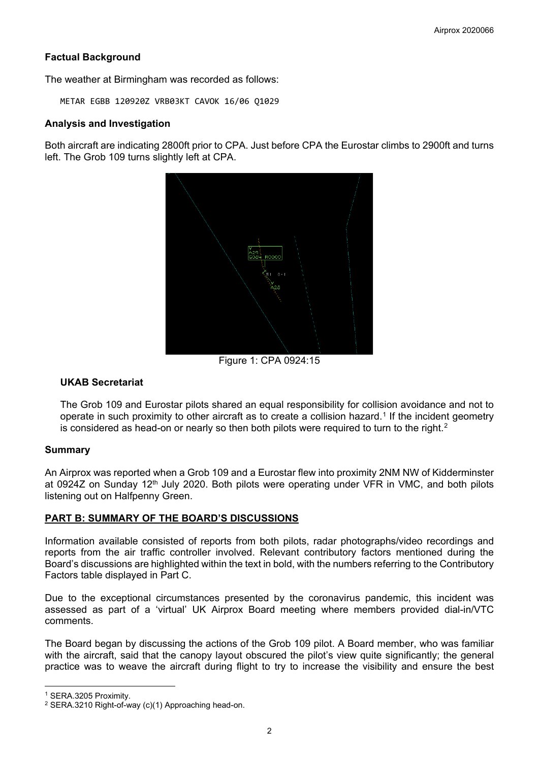## **Factual Background**

The weather at Birmingham was recorded as follows:

METAR EGBB 120920Z VRB03KT CAVOK 16/06 Q1029

#### **Analysis and Investigation**

Both aircraft are indicating 2800ft prior to CPA. Just before CPA the Eurostar climbs to 2900ft and turns left. The Grob 109 turns slightly left at CPA.



Figure 1: CPA 0924:15

#### **UKAB Secretariat**

The Grob 109 and Eurostar pilots shared an equal responsibility for collision avoidance and not to operate in such proximity to other aircraft as to create a collision hazard.[1](#page-1-0) If the incident geometry is considered as head-on or nearly so then both pilots were required to turn to the right.<sup>[2](#page-1-1)</sup>

#### **Summary**

An Airprox was reported when a Grob 109 and a Eurostar flew into proximity 2NM NW of Kidderminster at 0924Z on Sunday  $12<sup>th</sup>$  July 2020. Both pilots were operating under VFR in VMC, and both pilots listening out on Halfpenny Green.

#### **PART B: SUMMARY OF THE BOARD'S DISCUSSIONS**

Information available consisted of reports from both pilots, radar photographs/video recordings and reports from the air traffic controller involved. Relevant contributory factors mentioned during the Board's discussions are highlighted within the text in bold, with the numbers referring to the Contributory Factors table displayed in Part C.

Due to the exceptional circumstances presented by the coronavirus pandemic, this incident was assessed as part of a 'virtual' UK Airprox Board meeting where members provided dial-in/VTC comments.

The Board began by discussing the actions of the Grob 109 pilot. A Board member, who was familiar with the aircraft, said that the canopy layout obscured the pilot's view quite significantly; the general practice was to weave the aircraft during flight to try to increase the visibility and ensure the best

<span id="page-1-0"></span><sup>1</sup> SERA.3205 Proximity.

<span id="page-1-1"></span><sup>2</sup> SERA.3210 Right-of-way (c)(1) Approaching head-on.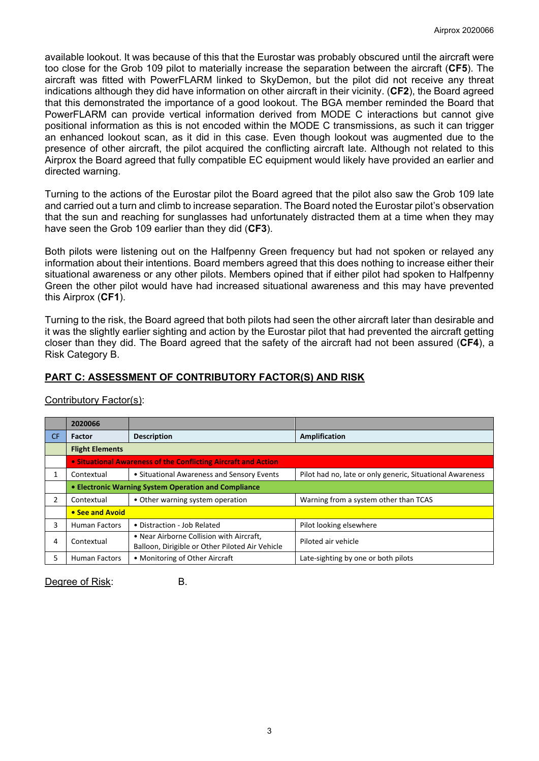available lookout. It was because of this that the Eurostar was probably obscured until the aircraft were too close for the Grob 109 pilot to materially increase the separation between the aircraft (**CF5**). The aircraft was fitted with PowerFLARM linked to SkyDemon, but the pilot did not receive any threat indications although they did have information on other aircraft in their vicinity. (**CF2**), the Board agreed that this demonstrated the importance of a good lookout. The BGA member reminded the Board that PowerFLARM can provide vertical information derived from MODE C interactions but cannot give positional information as this is not encoded within the MODE C transmissions, as such it can trigger an enhanced lookout scan, as it did in this case. Even though lookout was augmented due to the presence of other aircraft, the pilot acquired the conflicting aircraft late. Although not related to this Airprox the Board agreed that fully compatible EC equipment would likely have provided an earlier and directed warning.

Turning to the actions of the Eurostar pilot the Board agreed that the pilot also saw the Grob 109 late and carried out a turn and climb to increase separation. The Board noted the Eurostar pilot's observation that the sun and reaching for sunglasses had unfortunately distracted them at a time when they may have seen the Grob 109 earlier than they did (**CF3**).

Both pilots were listening out on the Halfpenny Green frequency but had not spoken or relayed any information about their intentions. Board members agreed that this does nothing to increase either their situational awareness or any other pilots. Members opined that if either pilot had spoken to Halfpenny Green the other pilot would have had increased situational awareness and this may have prevented this Airprox (**CF1**).

Turning to the risk, the Board agreed that both pilots had seen the other aircraft later than desirable and it was the slightly earlier sighting and action by the Eurostar pilot that had prevented the aircraft getting closer than they did. The Board agreed that the safety of the aircraft had not been assured (**CF4**), a Risk Category B.

# **PART C: ASSESSMENT OF CONTRIBUTORY FACTOR(S) AND RISK**

|                | 2020066                |                                                                                             |                                                           |  |  |  |  |  |  |
|----------------|------------------------|---------------------------------------------------------------------------------------------|-----------------------------------------------------------|--|--|--|--|--|--|
| CF.            | <b>Factor</b>          | <b>Description</b>                                                                          | <b>Amplification</b>                                      |  |  |  |  |  |  |
|                | <b>Flight Elements</b> |                                                                                             |                                                           |  |  |  |  |  |  |
|                |                        | • Situational Awareness of the Conflicting Aircraft and Action                              |                                                           |  |  |  |  |  |  |
| 1              | Contextual             | • Situational Awareness and Sensory Events                                                  | Pilot had no, late or only generic, Situational Awareness |  |  |  |  |  |  |
|                |                        | • Electronic Warning System Operation and Compliance                                        |                                                           |  |  |  |  |  |  |
| $\overline{2}$ | Contextual             | • Other warning system operation                                                            | Warning from a system other than TCAS                     |  |  |  |  |  |  |
|                | • See and Avoid        |                                                                                             |                                                           |  |  |  |  |  |  |
| 3              | <b>Human Factors</b>   | • Distraction - Job Related                                                                 | Pilot looking elsewhere                                   |  |  |  |  |  |  |
| 4              | Contextual             | • Near Airborne Collision with Aircraft,<br>Balloon, Dirigible or Other Piloted Air Vehicle | Piloted air vehicle                                       |  |  |  |  |  |  |
| 5.             | <b>Human Factors</b>   | • Monitoring of Other Aircraft                                                              | Late-sighting by one or both pilots                       |  |  |  |  |  |  |

#### Contributory Factor(s):

Degree of Risk: B.